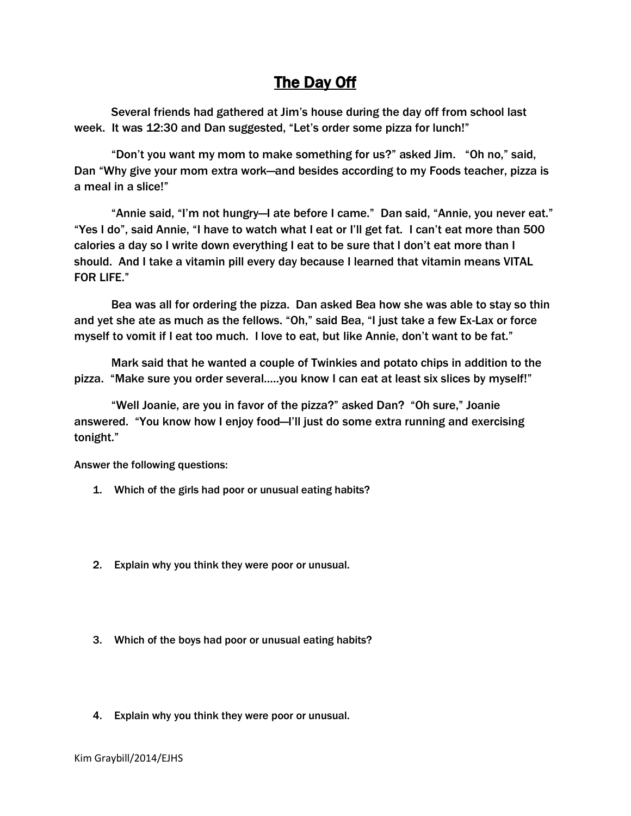## The Day Off

Several friends had gathered at Jim's house during the day off from school last week. It was 12:30 and Dan suggested, "Let's order some pizza for lunch!"

"Don't you want my mom to make something for us?" asked Jim. "Oh no," said, Dan "Why give your mom extra work—and besides according to my Foods teacher, pizza is a meal in a slice!"

"Annie said, "I'm not hungry—I ate before I came." Dan said, "Annie, you never eat." "Yes I do", said Annie, "I have to watch what I eat or I'll get fat. I can't eat more than 500 calories a day so I write down everything I eat to be sure that I don't eat more than I should. And I take a vitamin pill every day because I learned that vitamin means VITAL FOR LIFE."

Bea was all for ordering the pizza. Dan asked Bea how she was able to stay so thin and yet she ate as much as the fellows. "Oh," said Bea, "I just take a few Ex-Lax or force myself to vomit if I eat too much. I love to eat, but like Annie, don't want to be fat."

Mark said that he wanted a couple of Twinkies and potato chips in addition to the pizza. "Make sure you order several…..you know I can eat at least six slices by myself!"

"Well Joanie, are you in favor of the pizza?" asked Dan? "Oh sure," Joanie answered. "You know how I enjoy food—I'll just do some extra running and exercising tonight."

Answer the following questions:

- 1. Which of the girls had poor or unusual eating habits?
- 2. Explain why you think they were poor or unusual.
- 3. Which of the boys had poor or unusual eating habits?
- 4. Explain why you think they were poor or unusual.